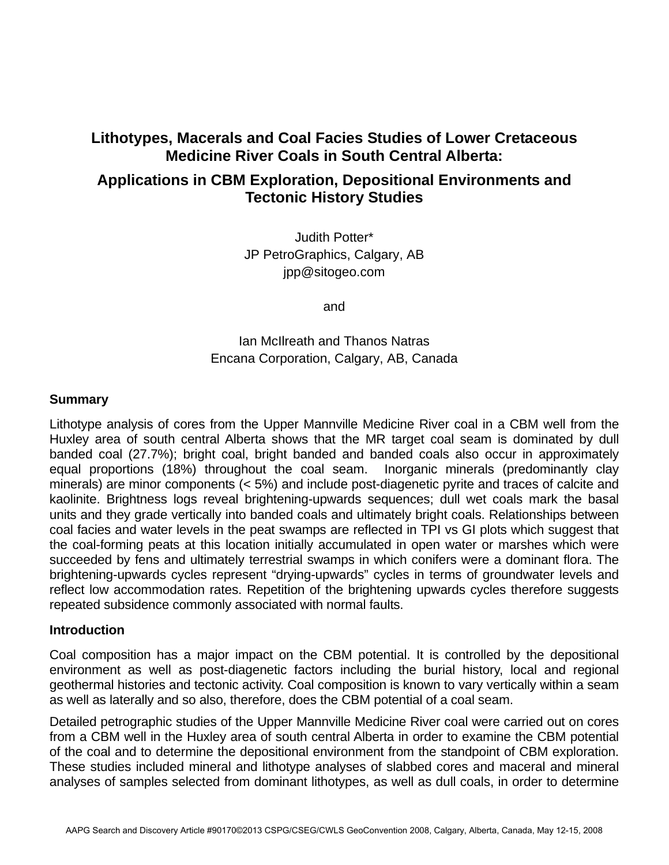# **Lithotypes, Macerals and Coal Facies Studies of Lower Cretaceous Medicine River Coals in South Central Alberta:**

# **Applications in CBM Exploration, Depositional Environments and Tectonic History Studies**

Judith Potter\* JP PetroGraphics, Calgary, AB jpp@sitogeo.com

and

Ian McIlreath and Thanos Natras Encana Corporation, Calgary, AB, Canada

### **Summary**

Lithotype analysis of cores from the Upper Mannville Medicine River coal in a CBM well from the Huxley area of south central Alberta shows that the MR target coal seam is dominated by dull banded coal (27.7%); bright coal, bright banded and banded coals also occur in approximately equal proportions (18%) throughout the coal seam. Inorganic minerals (predominantly clay minerals) are minor components (< 5%) and include post-diagenetic pyrite and traces of calcite and kaolinite. Brightness logs reveal brightening-upwards sequences; dull wet coals mark the basal units and they grade vertically into banded coals and ultimately bright coals. Relationships between coal facies and water levels in the peat swamps are reflected in TPI vs GI plots which suggest that the coal-forming peats at this location initially accumulated in open water or marshes which were succeeded by fens and ultimately terrestrial swamps in which conifers were a dominant flora. The brightening-upwards cycles represent "drying-upwards" cycles in terms of groundwater levels and reflect low accommodation rates. Repetition of the brightening upwards cycles therefore suggests repeated subsidence commonly associated with normal faults.

#### **Introduction**

Coal composition has a major impact on the CBM potential. It is controlled by the depositional environment as well as post-diagenetic factors including the burial history, local and regional geothermal histories and tectonic activity. Coal composition is known to vary vertically within a seam as well as laterally and so also, therefore, does the CBM potential of a coal seam.

Detailed petrographic studies of the Upper Mannville Medicine River coal were carried out on cores from a CBM well in the Huxley area of south central Alberta in order to examine the CBM potential of the coal and to determine the depositional environment from the standpoint of CBM exploration. These studies included mineral and lithotype analyses of slabbed cores and maceral and mineral analyses of samples selected from dominant lithotypes, as well as dull coals, in order to determine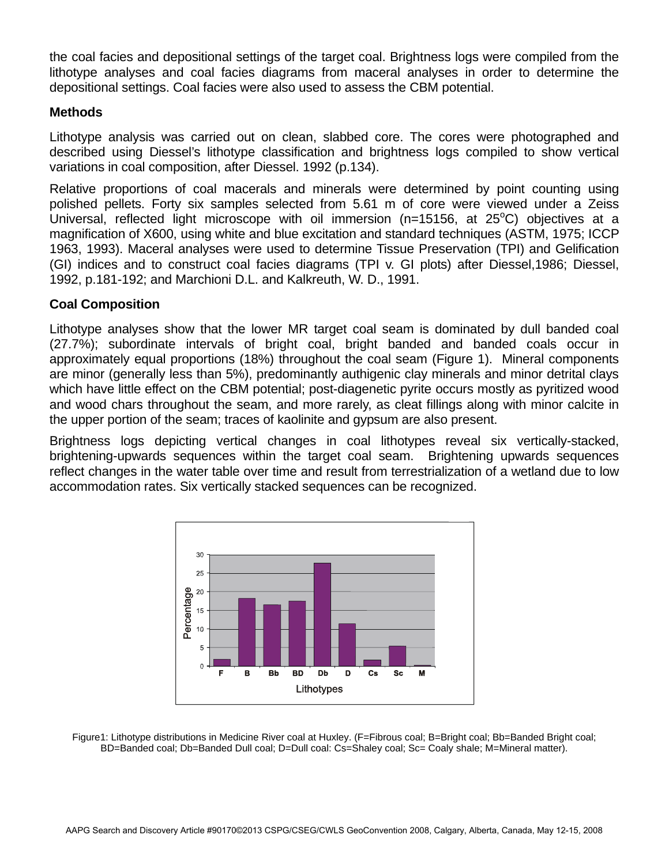the coal facies and depositional settings of the target coal. Brightness logs were compiled from the lithotype analyses and coal facies diagrams from maceral analyses in order to determine the depositional settings. Coal facies were also used to assess the CBM potential.

## **Methods**

Lithotype analysis was carried out on clean, slabbed core. The cores were photographed and described using Diessel's lithotype classification and brightness logs compiled to show vertical variations in coal composition, after Diessel. 1992 (p.134).

Relative proportions of coal macerals and minerals were determined by point counting using polished pellets. Forty six samples selected from 5.61 m of core were viewed under a Zeiss Universal, reflected light microscope with oil immersion (n=15156, at 25°C) objectives at a magnification of X600, using white and blue excitation and standard techniques (ASTM, 1975; ICCP 1963, 1993). Maceral analyses were used to determine Tissue Preservation (TPI) and Gelification (GI) indices and to construct coal facies diagrams (TPI v. GI plots) after Diessel,1986; Diessel, 1992, p.181-192; and Marchioni D.L. and Kalkreuth, W. D., 1991.

## **Coal Composition**

Lithotype analyses show that the lower MR target coal seam is dominated by dull banded coal (27.7%); subordinate intervals of bright coal, bright banded and banded coals occur in approximately equal proportions (18%) throughout the coal seam (Figure 1). Mineral components are minor (generally less than 5%), predominantly authigenic clay minerals and minor detrital clays which have little effect on the CBM potential; post-diagenetic pyrite occurs mostly as pyritized wood and wood chars throughout the seam, and more rarely, as cleat fillings along with minor calcite in the upper portion of the seam; traces of kaolinite and gypsum are also present.

Brightness logs depicting vertical changes in coal lithotypes reveal six vertically-stacked, brightening-upwards sequences within the target coal seam. Brightening upwards sequences reflect changes in the water table over time and result from terrestrialization of a wetland due to low accommodation rates. Six vertically stacked sequences can be recognized.



Figure1: Lithotype distributions in Medicine River coal at Huxley. (F=Fibrous coal; B=Bright coal; Bb=Banded Bright coal; BD=Banded coal; Db=Banded Dull coal; D=Dull coal: Cs=Shaley coal; Sc= Coaly shale; M=Mineral matter).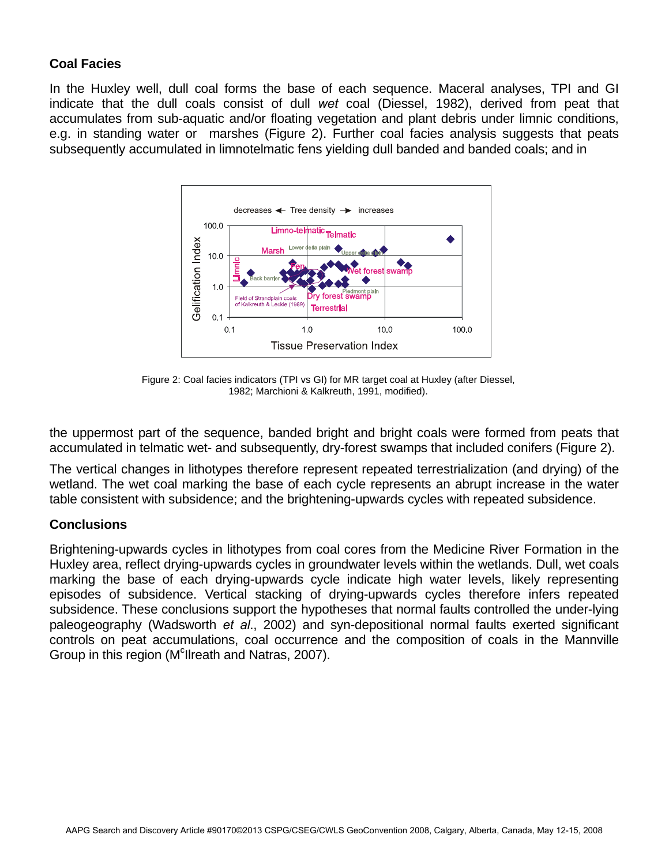## **Coal Facies**

In the Huxley well, dull coal forms the base of each sequence. Maceral analyses, TPI and GI indicate that the dull coals consist of dull *wet* coal (Diessel, 1982), derived from peat that accumulates from sub-aquatic and/or floating vegetation and plant debris under limnic conditions, e.g. in standing water or marshes (Figure 2). Further coal facies analysis suggests that peats subsequently accumulated in limnotelmatic fens yielding dull banded and banded coals; and in



Figure 2: Coal facies indicators (TPI vs GI) for MR target coal at Huxley (after Diessel, 1982; Marchioni & Kalkreuth, 1991, modified).

the uppermost part of the sequence, banded bright and bright coals were formed from peats that accumulated in telmatic wet- and subsequently, dry-forest swamps that included conifers (Figure 2).

The vertical changes in lithotypes therefore represent repeated terrestrialization (and drying) of the wetland. The wet coal marking the base of each cycle represents an abrupt increase in the water table consistent with subsidence; and the brightening-upwards cycles with repeated subsidence.

## **Conclusions**

Brightening-upwards cycles in lithotypes from coal cores from the Medicine River Formation in the Huxley area, reflect drying-upwards cycles in groundwater levels within the wetlands. Dull, wet coals marking the base of each drying-upwards cycle indicate high water levels, likely representing episodes of subsidence. Vertical stacking of drying-upwards cycles therefore infers repeated subsidence. These conclusions support the hypotheses that normal faults controlled the under-lying paleogeography (Wadsworth *et al*., 2002) and syn-depositional normal faults exerted significant controls on peat accumulations, coal occurrence and the composition of coals in the Mannville Group in this region (M<sup>c</sup>llreath and Natras, 2007).